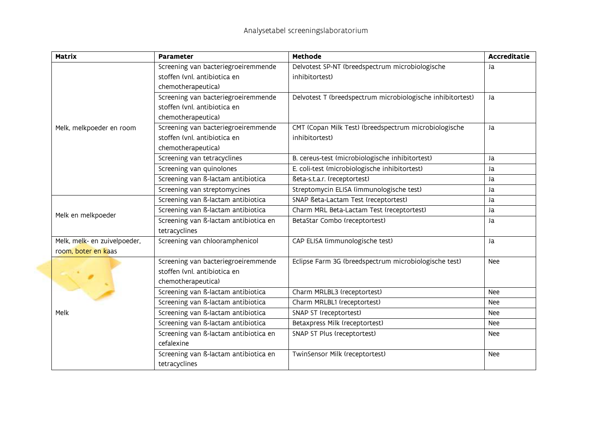| <b>Matrix</b>                | <b>Parameter</b>                      | <b>Methode</b>                                             | <b>Accreditatie</b> |
|------------------------------|---------------------------------------|------------------------------------------------------------|---------------------|
|                              | Screening van bacteriegroeiremmende   | Delvotest SP-NT (breedspectrum microbiologische            | Ja                  |
|                              | stoffen (vnl. antibiotica en          | inhibitortest)                                             |                     |
|                              | chemotherapeutica)                    |                                                            |                     |
|                              | Screening van bacteriegroeiremmende   | Delvotest T (breedspectrum microbiologische inhibitortest) | Ja                  |
|                              | stoffen (vnl. antibiotica en          |                                                            |                     |
|                              | chemotherapeutica)                    |                                                            |                     |
| Melk, melkpoeder en room     | Screening van bacteriegroeiremmende   | CMT (Copan Milk Test) (breedspectrum microbiologische      | Ja                  |
|                              | stoffen (vnl. antibiotica en          | inhibitortest)                                             |                     |
|                              | chemotherapeutica)                    |                                                            |                     |
|                              | Screening van tetracyclines           | B. cereus-test (microbiologische inhibitortest)            | Ja                  |
|                              | Screening van quinolones              | E. coli-test (microbiologische inhibitortest)              | Ja                  |
|                              | Screening van ß-lactam antibiotica    | ßeta-s.t.a.r. (receptortest)                               | Ja                  |
|                              | Screening van streptomycines          | Streptomycin ELISA (immunologische test)                   | Ja                  |
|                              | Screening van ß-lactam antibiotica    | SNAP Beta-Lactam Test (receptortest)                       | Ja                  |
| Melk en melkpoeder           | Screening van ß-lactam antibiotica    | Charm MRL Beta-Lactam Test (receptortest)                  | Ja                  |
|                              | Screening van ß-lactam antibiotica en | BetaStar Combo (receptortest)                              | Ja                  |
|                              | tetracyclines                         |                                                            |                     |
| Melk, melk- en zuivelpoeder, | Screening van chlooramphenicol        | CAP ELISA (immunologische test)                            | Ja                  |
| room, boter en kaas          |                                       |                                                            |                     |
|                              | Screening van bacteriegroeiremmende   | Eclipse Farm 3G (breedspectrum microbiologische test)      | <b>Nee</b>          |
|                              | stoffen (vnl. antibiotica en          |                                                            |                     |
|                              | chemotherapeutica)                    |                                                            |                     |
|                              | Screening van ß-lactam antibiotica    | Charm MRLBL3 (receptortest)                                | Nee                 |
|                              | Screening van ß-lactam antibiotica    | Charm MRLBL1 (receptortest)                                | Nee                 |
| Melk                         | Screening van ß-lactam antibiotica    | SNAP ST (receptortest)                                     | Nee                 |
|                              | Screening van ß-lactam antibiotica    | Betaxpress Milk (receptortest)                             | <b>Nee</b>          |
|                              | Screening van ß-lactam antibiotica en | SNAP ST Plus (receptortest)                                | <b>Nee</b>          |
|                              | cefalexine                            |                                                            |                     |
|                              | Screening van ß-lactam antibiotica en | TwinSensor Milk (receptortest)                             | Nee                 |
|                              | tetracyclines                         |                                                            |                     |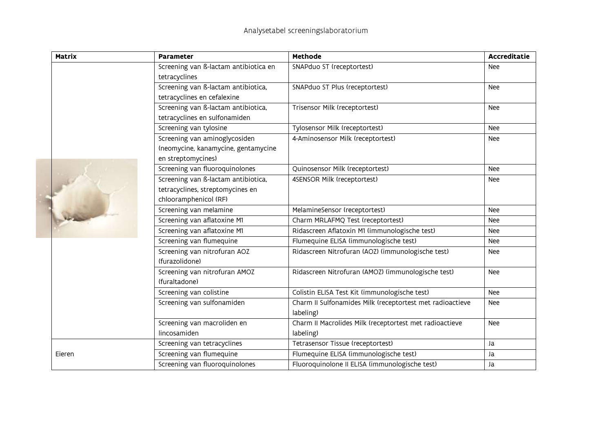| Matrix | <b>Parameter</b>                               | <b>Methode</b>                                                         | <b>Accreditatie</b> |
|--------|------------------------------------------------|------------------------------------------------------------------------|---------------------|
|        | Screening van ß-lactam antibiotica en          | SNAPduo ST (receptortest)                                              | Nee                 |
|        | tetracyclines                                  |                                                                        |                     |
|        | Screening van ß-lactam antibiotica,            | SNAPduo ST Plus (receptortest)                                         | Nee                 |
|        | tetracyclines en cefalexine                    |                                                                        |                     |
|        | Screening van ß-lactam antibiotica,            | Trisensor Milk (receptortest)                                          | Nee                 |
|        | tetracyclines en sulfonamiden                  |                                                                        |                     |
|        | Screening van tylosine                         | Tylosensor Milk (receptortest)                                         | Nee                 |
|        | Screening van aminoglycosiden                  | 4-Aminosensor Milk (receptortest)                                      | Nee                 |
|        | (neomycine, kanamycine, gentamycine            |                                                                        |                     |
|        | en streptomycines)                             |                                                                        |                     |
|        | Screening van fluoroquinolones                 | Quinosensor Milk (receptortest)                                        | Nee                 |
|        | Screening van ß-lactam antibiotica,            | 4SENSOR Milk (receptortest)                                            | Nee                 |
|        | tetracyclines, streptomycines en               |                                                                        |                     |
|        | chlooramphenicol (RF)                          |                                                                        |                     |
|        | Screening van melamine                         | MelamineSensor (receptortest)                                          | Nee                 |
|        | Screening van aflatoxine M1                    | Charm MRLAFMQ Test (receptortest)                                      | Nee                 |
|        | Screening van aflatoxine M1                    | Ridascreen Aflatoxin M1 (immunologische test)                          | <b>Nee</b>          |
|        | Screening van flumequine                       | Flumequine ELISA (immunologische test)                                 | Nee                 |
|        | Screening van nitrofuran AOZ<br>(furazolidone) | Ridascreen Nitrofuran (AOZ) (immunologische test)                      | Nee                 |
|        | Screening van nitrofuran AMOZ<br>(furaltadone) | Ridascreen Nitrofuran (AMOZ) (immunologische test)                     | Nee                 |
|        | Screening van colistine                        | Colistin ELISA Test Kit (immunologische test)                          | Nee                 |
|        | Screening van sulfonamiden                     | Charm II Sulfonamides Milk (receptortest met radioactieve<br>labeling) | Nee                 |
|        | Screening van macroliden en                    | Charm II Macrolides Milk (receptortest met radioactieve                | Nee                 |
|        | lincosamiden                                   | labeling)                                                              |                     |
|        | Screening van tetracyclines                    | Tetrasensor Tissue (receptortest)                                      | Ja                  |
| Eieren | Screening van flumequine                       | Flumequine ELISA (immunologische test)                                 | Ja                  |
|        | Screening van fluoroquinolones                 | Fluoroquinolone II ELISA (immunologische test)                         | Ja                  |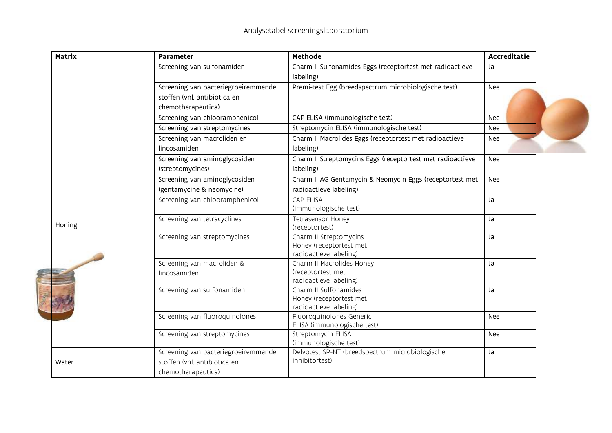| <b>Matrix</b> | <b>Parameter</b>                    | <b>Methode</b>                                             | <b>Accreditatie</b> |
|---------------|-------------------------------------|------------------------------------------------------------|---------------------|
|               | Screening van sulfonamiden          | Charm II Sulfonamides Eggs (receptortest met radioactieve  | Ja                  |
|               |                                     | labeling)                                                  |                     |
|               | Screening van bacteriegroeiremmende | Premi-test Egg (breedspectrum microbiologische test)       | Nee                 |
|               | stoffen (vnl. antibiotica en        |                                                            |                     |
|               | chemotherapeutica)                  |                                                            |                     |
|               | Screening van chlooramphenicol      | CAP ELISA (immunologische test)                            | Nee                 |
|               | Screening van streptomycines        | Streptomycin ELISA (immunologische test)                   | Nee                 |
|               | Screening van macroliden en         | Charm II Macrolides Eggs (receptortest met radioactieve    | Nee                 |
|               | lincosamiden                        | labeling)                                                  |                     |
|               | Screening van aminoglycosiden       | Charm II Streptomycins Eggs (receptortest met radioactieve | Nee                 |
|               | (streptomycines)                    | labeling)                                                  |                     |
|               | Screening van aminoglycosiden       | Charm II AG Gentamycin & Neomycin Eggs (receptortest met   | Nee                 |
|               | (gentamycine & neomycine)           | radioactieve labeling)                                     |                     |
|               | Screening van chlooramphenicol      | CAP ELISA                                                  | Ja                  |
|               |                                     | (immunologische test)                                      |                     |
| Honing        | Screening van tetracyclines         | Tetrasensor Honey                                          | Ja                  |
|               |                                     | (receptortest)                                             |                     |
|               | Screening van streptomycines        | Charm II Streptomycins<br>Honey (receptortest met          | Ja                  |
|               |                                     | radioactieve labeling)                                     |                     |
|               | Screening van macroliden &          | Charm II Macrolides Honey                                  | Ja                  |
|               | lincosamiden                        | (receptortest met                                          |                     |
|               |                                     | radioactieve labeling)                                     |                     |
|               | Screening van sulfonamiden          | Charm II Sulfonamides                                      | Ja                  |
|               |                                     | Honey (receptortest met<br>radioactieve labeling)          |                     |
|               | Screening van fluoroquinolones      | Fluoroquinolones Generic                                   | Nee                 |
|               |                                     | ELISA (immunologische test)                                |                     |
|               | Screening van streptomycines        | Streptomycin ELISA                                         | Nee                 |
|               |                                     | (immunologische test)                                      |                     |
|               | Screening van bacteriegroeiremmende | Delvotest SP-NT (breedspectrum microbiologische            | Ja                  |
| Water         | stoffen (vnl. antibiotica en        | inhibitortest)                                             |                     |
|               | chemotherapeutica)                  |                                                            |                     |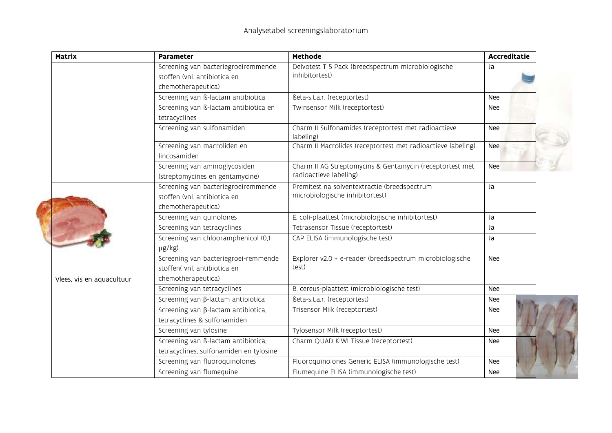| <b>Matrix</b>             | <b>Parameter</b>                                                                           | <b>Methode</b>                                                                     | <b>Accreditatie</b> |  |
|---------------------------|--------------------------------------------------------------------------------------------|------------------------------------------------------------------------------------|---------------------|--|
|                           | Screening van bacteriegroeiremmende<br>stoffen (vnl. antibiotica en<br>chemotherapeutica)  | Delvotest T 5 Pack (breedspectrum microbiologische<br>inhibitortest)               | Ja                  |  |
|                           | Screening van ß-lactam antibiotica                                                         | Beta-s.t.a.r. (receptortest)                                                       | Nee                 |  |
|                           | Screening van ß-lactam antibiotica en<br>tetracyclines                                     | Twinsensor Milk (receptortest)                                                     | Nee                 |  |
|                           | Screening van sulfonamiden                                                                 | Charm II Sulfonamides (receptortest met radioactieve<br>labeling)                  | Nee                 |  |
|                           | Screening van macroliden en<br>lincosamiden                                                | Charm II Macrolides (receptortest met radioactieve labeling)                       | Nee                 |  |
|                           | Screening van aminoglycosiden<br>(streptomycines en gentamycine)                           | Charm II AG Streptomycins & Gentamycin (receptortest met<br>radioactieve labeling) | Nee                 |  |
|                           | Screening van bacteriegroeiremmende<br>stoffen (vnl. antibiotica en<br>chemotherapeutica)  | Premitest na solventextractie (breedspectrum<br>microbiologische inhibitortest)    | Ja                  |  |
|                           | Screening van quinolones                                                                   | E. coli-plaattest (microbiologische inhibitortest)                                 | Ja                  |  |
|                           | Screening van tetracyclines                                                                | Tetrasensor Tissue (receptortest)                                                  | Ja                  |  |
|                           | Screening van chlooramphenicol (0,1<br>$\mu$ g/kg)                                         | CAP ELISA (immunologische test)                                                    | Ja                  |  |
| Vlees, vis en aquacultuur | Screening van bacteriegroei-remmende<br>stoffen( vnl. antibiotica en<br>chemotherapeutica) | Explorer v2.0 + e-reader (breedspectrum microbiologische<br>test)                  | Nee                 |  |
|                           | Screening van tetracyclines                                                                | B. cereus-plaattest (microbiologische test)                                        | <b>Nee</b>          |  |
|                           | Screening van $\beta$ -lactam antibiotica                                                  | Beta-s.t.a.r. (receptortest)                                                       | Nee                 |  |
|                           | Screening van β-lactam antibiotica,<br>tetracyclines & sulfonamiden                        | Trisensor Milk (receptortest)                                                      | Nee                 |  |
|                           | Screening van tylosine                                                                     | Tylosensor Milk (receptortest)                                                     | Nee                 |  |
|                           | Screening van ß-lactam antibiotica,<br>tetracyclines, sulfonamiden en tylosine             | Charm QUAD KIWI Tissue (receptortest)                                              | Nee                 |  |
|                           | Screening van fluoroquinolones                                                             | Fluoroquinolones Generic ELISA (immunologische test)                               | Nee                 |  |
|                           | Screening van flumequine                                                                   | Flumequine ELISA (immunologische test)                                             | Nee                 |  |